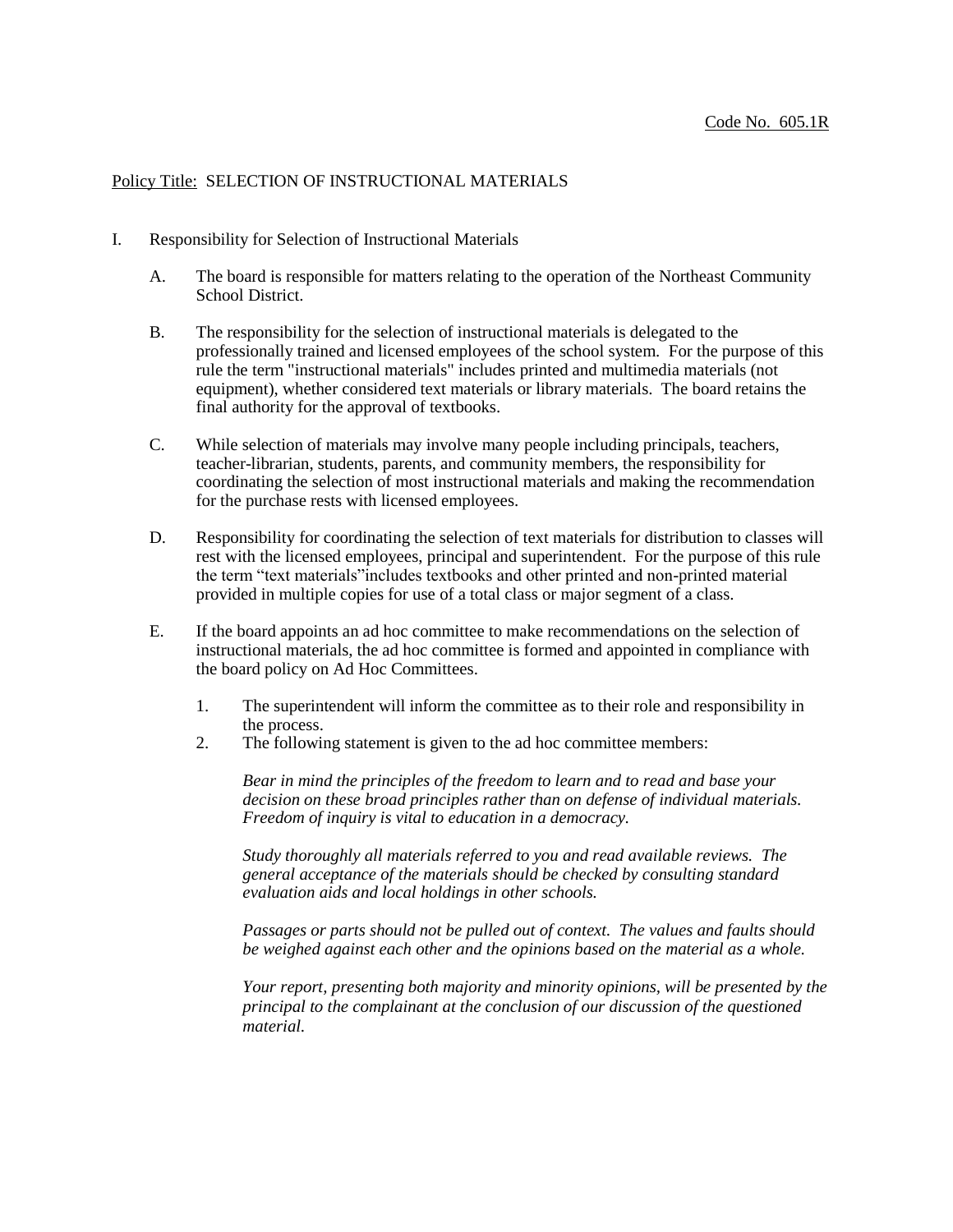## Policy Title: SELECTION OF INSTRUCTIONAL MATERIALS

- I. Responsibility for Selection of Instructional Materials
	- A. The board is responsible for matters relating to the operation of the Northeast Community School District.
	- B. The responsibility for the selection of instructional materials is delegated to the professionally trained and licensed employees of the school system. For the purpose of this rule the term "instructional materials" includes printed and multimedia materials (not equipment), whether considered text materials or library materials. The board retains the final authority for the approval of textbooks.
	- C. While selection of materials may involve many people including principals, teachers, teacher-librarian, students, parents, and community members, the responsibility for coordinating the selection of most instructional materials and making the recommendation for the purchase rests with licensed employees.
	- D. Responsibility for coordinating the selection of text materials for distribution to classes will rest with the licensed employees, principal and superintendent. For the purpose of this rule the term "text materials"includes textbooks and other printed and non-printed material provided in multiple copies for use of a total class or major segment of a class.
	- E. If the board appoints an ad hoc committee to make recommendations on the selection of instructional materials, the ad hoc committee is formed and appointed in compliance with the board policy on Ad Hoc Committees.
		- 1. The superintendent will inform the committee as to their role and responsibility in the process.
		- 2. The following statement is given to the ad hoc committee members:

*Bear in mind the principles of the freedom to learn and to read and base your decision on these broad principles rather than on defense of individual materials. Freedom of inquiry is vital to education in a democracy.*

*Study thoroughly all materials referred to you and read available reviews. The general acceptance of the materials should be checked by consulting standard evaluation aids and local holdings in other schools.*

*Passages or parts should not be pulled out of context. The values and faults should be weighed against each other and the opinions based on the material as a whole.*

*Your report, presenting both majority and minority opinions, will be presented by the principal to the complainant at the conclusion of our discussion of the questioned material.*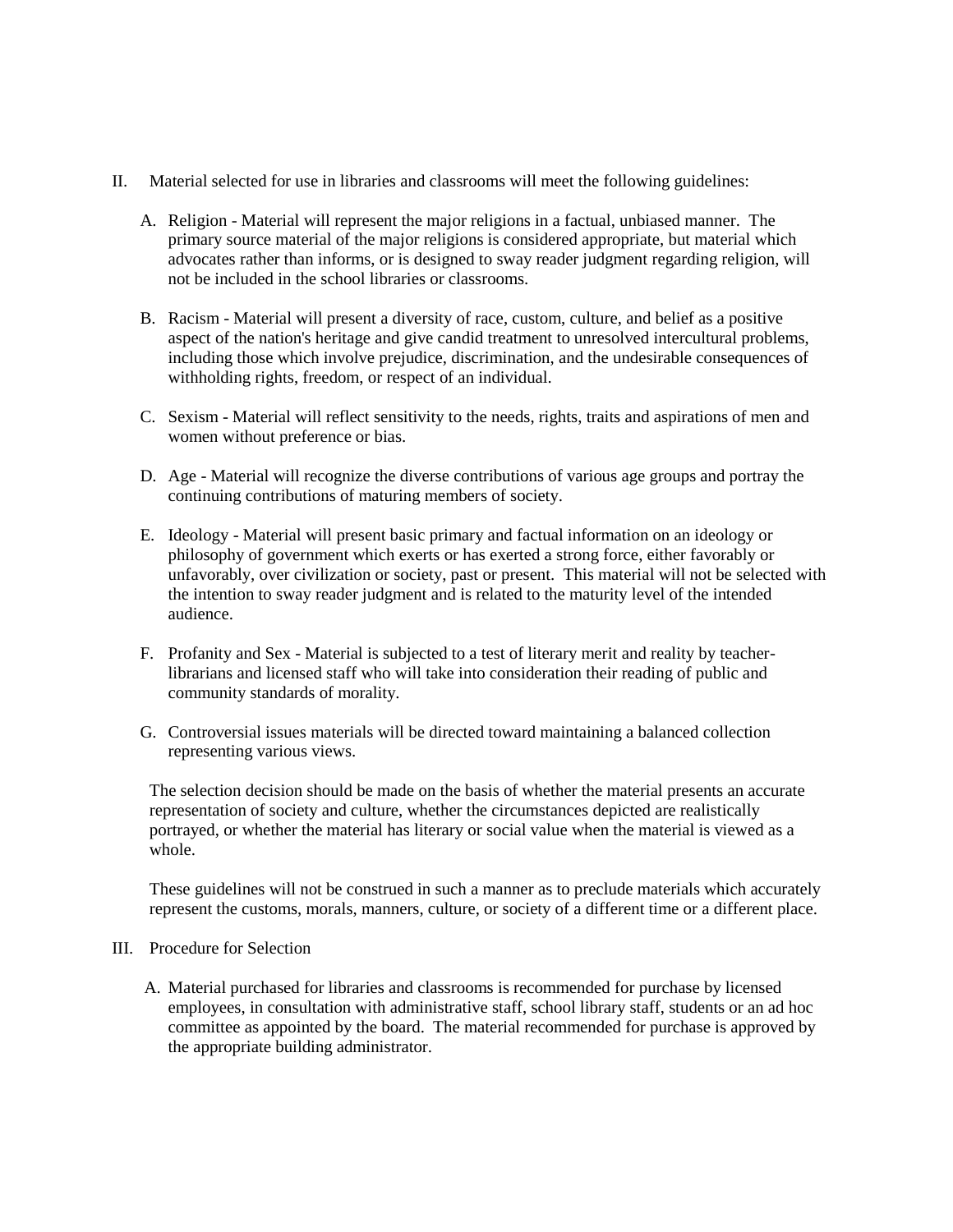- II. Material selected for use in libraries and classrooms will meet the following guidelines:
	- A. Religion Material will represent the major religions in a factual, unbiased manner. The primary source material of the major religions is considered appropriate, but material which advocates rather than informs, or is designed to sway reader judgment regarding religion, will not be included in the school libraries or classrooms.
	- B. Racism Material will present a diversity of race, custom, culture, and belief as a positive aspect of the nation's heritage and give candid treatment to unresolved intercultural problems, including those which involve prejudice, discrimination, and the undesirable consequences of withholding rights, freedom, or respect of an individual.
	- C. Sexism Material will reflect sensitivity to the needs, rights, traits and aspirations of men and women without preference or bias.
	- D. Age Material will recognize the diverse contributions of various age groups and portray the continuing contributions of maturing members of society.
	- E. Ideology Material will present basic primary and factual information on an ideology or philosophy of government which exerts or has exerted a strong force, either favorably or unfavorably, over civilization or society, past or present. This material will not be selected with the intention to sway reader judgment and is related to the maturity level of the intended audience.
	- F. Profanity and Sex Material is subjected to a test of literary merit and reality by teacherlibrarians and licensed staff who will take into consideration their reading of public and community standards of morality.
	- G. Controversial issues materials will be directed toward maintaining a balanced collection representing various views.

The selection decision should be made on the basis of whether the material presents an accurate representation of society and culture, whether the circumstances depicted are realistically portrayed, or whether the material has literary or social value when the material is viewed as a whole.

These guidelines will not be construed in such a manner as to preclude materials which accurately represent the customs, morals, manners, culture, or society of a different time or a different place.

## III. Procedure for Selection

A. Material purchased for libraries and classrooms is recommended for purchase by licensed employees, in consultation with administrative staff, school library staff, students or an ad hoc committee as appointed by the board. The material recommended for purchase is approved by the appropriate building administrator.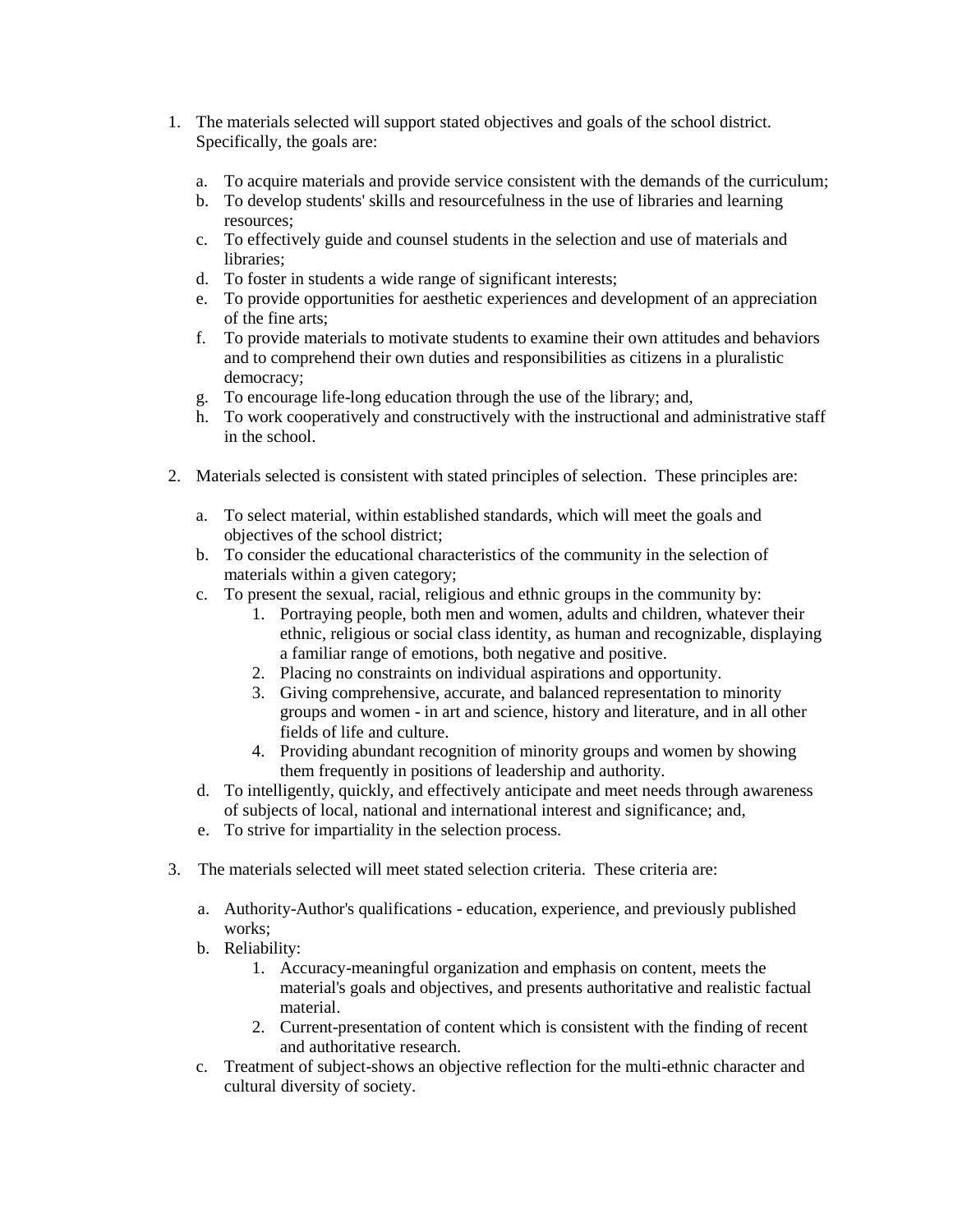- 1. The materials selected will support stated objectives and goals of the school district. Specifically, the goals are:
	- a. To acquire materials and provide service consistent with the demands of the curriculum;
	- b. To develop students' skills and resourcefulness in the use of libraries and learning resources;
	- c. To effectively guide and counsel students in the selection and use of materials and libraries;
	- d. To foster in students a wide range of significant interests;
	- e. To provide opportunities for aesthetic experiences and development of an appreciation of the fine arts;
	- f. To provide materials to motivate students to examine their own attitudes and behaviors and to comprehend their own duties and responsibilities as citizens in a pluralistic democracy;
	- g. To encourage life-long education through the use of the library; and,
	- h. To work cooperatively and constructively with the instructional and administrative staff in the school.
- 2. Materials selected is consistent with stated principles of selection. These principles are:
	- a. To select material, within established standards, which will meet the goals and objectives of the school district;
	- b. To consider the educational characteristics of the community in the selection of materials within a given category;
	- c. To present the sexual, racial, religious and ethnic groups in the community by:
		- 1. Portraying people, both men and women, adults and children, whatever their ethnic, religious or social class identity, as human and recognizable, displaying a familiar range of emotions, both negative and positive.
		- 2. Placing no constraints on individual aspirations and opportunity.
		- 3. Giving comprehensive, accurate, and balanced representation to minority groups and women - in art and science, history and literature, and in all other fields of life and culture.
		- 4. Providing abundant recognition of minority groups and women by showing them frequently in positions of leadership and authority.
	- d. To intelligently, quickly, and effectively anticipate and meet needs through awareness of subjects of local, national and international interest and significance; and,
	- e. To strive for impartiality in the selection process.
- 3. The materials selected will meet stated selection criteria. These criteria are:
	- a. Authority-Author's qualifications education, experience, and previously published works;
	- b. Reliability:
		- 1. Accuracy-meaningful organization and emphasis on content, meets the material's goals and objectives, and presents authoritative and realistic factual material.
		- 2. Current-presentation of content which is consistent with the finding of recent and authoritative research.
	- c. Treatment of subject-shows an objective reflection for the multi-ethnic character and cultural diversity of society.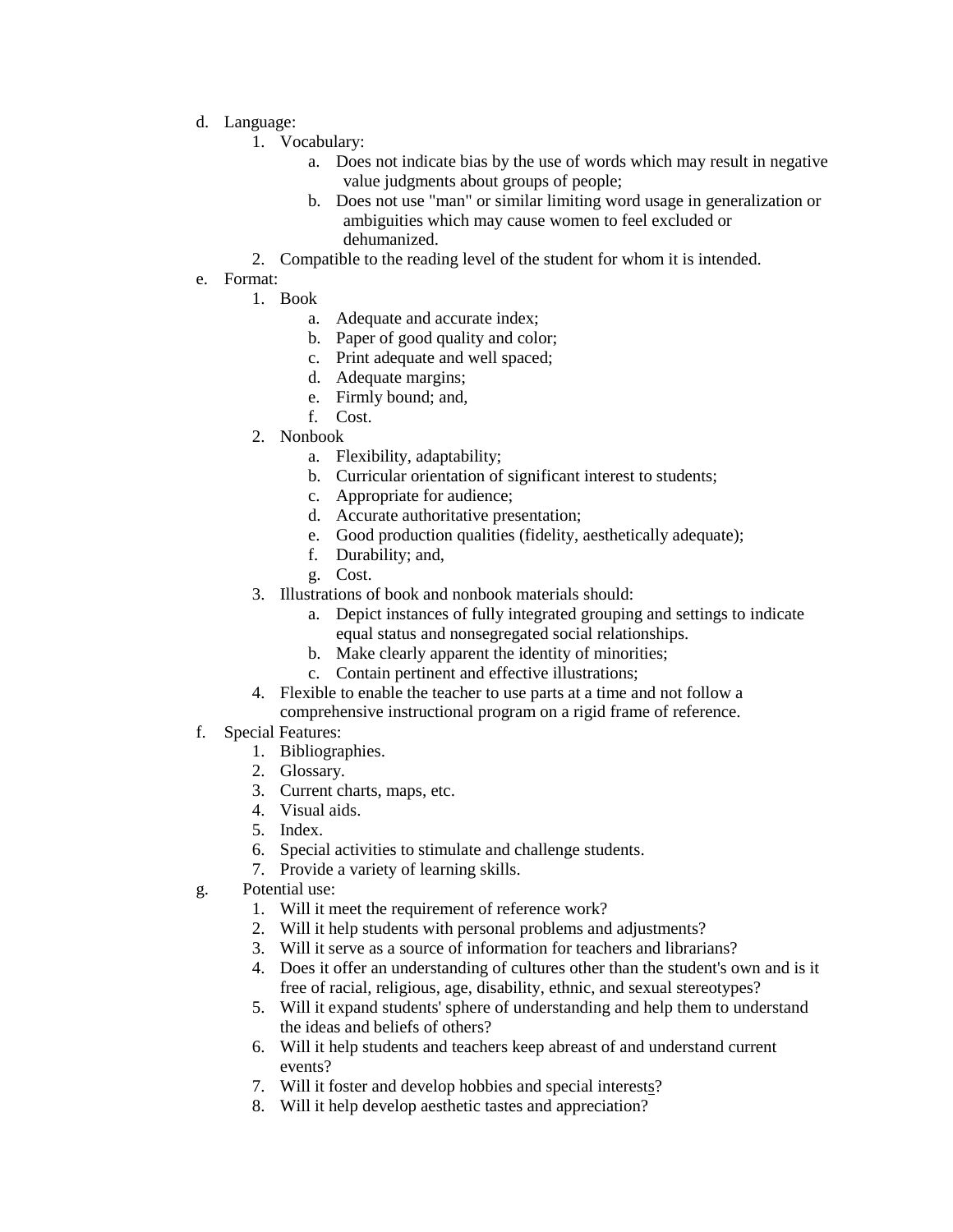- d. Language:
	- 1. Vocabulary:
		- a. Does not indicate bias by the use of words which may result in negative value judgments about groups of people;
		- b. Does not use "man" or similar limiting word usage in generalization or ambiguities which may cause women to feel excluded or dehumanized.
	- 2. Compatible to the reading level of the student for whom it is intended.
- e. Format:
	- 1. Book
		- a. Adequate and accurate index;
		- b. Paper of good quality and color;
		- c. Print adequate and well spaced;
		- d. Adequate margins;
		- e. Firmly bound; and,
		- f. Cost.
	- 2. Nonbook
		- a. Flexibility, adaptability;
			- b. Curricular orientation of significant interest to students;
		- c. Appropriate for audience;
		- d. Accurate authoritative presentation;
		- e. Good production qualities (fidelity, aesthetically adequate);
		- f. Durability; and,
		- g. Cost.
	- 3. Illustrations of book and nonbook materials should:
		- a. Depict instances of fully integrated grouping and settings to indicate equal status and nonsegregated social relationships.
		- b. Make clearly apparent the identity of minorities;
		- c. Contain pertinent and effective illustrations;
	- 4. Flexible to enable the teacher to use parts at a time and not follow a comprehensive instructional program on a rigid frame of reference.
- f. Special Features:
	- 1. Bibliographies.
	- 2. Glossary.
	- 3. Current charts, maps, etc.
	- 4. Visual aids.
	- 5. Index.
	- 6. Special activities to stimulate and challenge students.
	- 7. Provide a variety of learning skills.
- g. Potential use:
	- 1. Will it meet the requirement of reference work?
	- 2. Will it help students with personal problems and adjustments?
	- 3. Will it serve as a source of information for teachers and librarians?
	- 4. Does it offer an understanding of cultures other than the student's own and is it free of racial, religious, age, disability, ethnic, and sexual stereotypes?
	- 5. Will it expand students' sphere of understanding and help them to understand the ideas and beliefs of others?
	- 6. Will it help students and teachers keep abreast of and understand current events?
	- 7. Will it foster and develop hobbies and special interests?
	- 8. Will it help develop aesthetic tastes and appreciation?